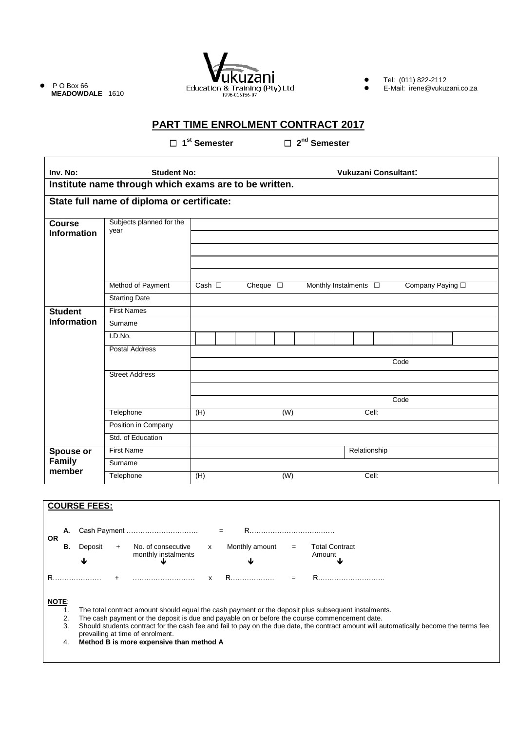$\bullet$  P O Box 66 **MEADOWDALE** 1610



● Tel: (011) 822-2112

E-Mail: irene@vukuzani.co.za

# **PART TIME ENROLMENT CONTRACT 2017**

 **1 st Semester 2**

□ 2<sup>nd</sup> Semester

| Inv. No:                                              | <b>Student No:</b>               |                | <b>Vukuzani Consultant:</b> |  |                  |                  |  |                            |  |              |  |      |  |                          |  |  |
|-------------------------------------------------------|----------------------------------|----------------|-----------------------------|--|------------------|------------------|--|----------------------------|--|--------------|--|------|--|--------------------------|--|--|
| Institute name through which exams are to be written. |                                  |                |                             |  |                  |                  |  |                            |  |              |  |      |  |                          |  |  |
| State full name of diploma or certificate:            |                                  |                |                             |  |                  |                  |  |                            |  |              |  |      |  |                          |  |  |
| <b>Course</b><br><b>Information</b>                   | Subjects planned for the<br>year |                |                             |  |                  |                  |  |                            |  |              |  |      |  |                          |  |  |
|                                                       |                                  |                |                             |  |                  |                  |  |                            |  |              |  |      |  |                          |  |  |
|                                                       |                                  |                |                             |  |                  |                  |  |                            |  |              |  |      |  |                          |  |  |
|                                                       |                                  |                |                             |  |                  |                  |  |                            |  |              |  |      |  |                          |  |  |
|                                                       |                                  |                |                             |  |                  |                  |  |                            |  |              |  |      |  |                          |  |  |
|                                                       | Method of Payment                | Cash $\square$ |                             |  | Cheque $\square$ |                  |  | Monthly Instalments $\Box$ |  |              |  |      |  | Company Paying $\square$ |  |  |
|                                                       | <b>Starting Date</b>             |                |                             |  |                  |                  |  |                            |  |              |  |      |  |                          |  |  |
| <b>Student</b>                                        | <b>First Names</b>               |                |                             |  |                  |                  |  |                            |  |              |  |      |  |                          |  |  |
| <b>Information</b>                                    | Surname                          |                |                             |  |                  |                  |  |                            |  |              |  |      |  |                          |  |  |
|                                                       | I.D.No.                          |                |                             |  |                  |                  |  |                            |  |              |  |      |  |                          |  |  |
|                                                       | <b>Postal Address</b>            |                |                             |  |                  |                  |  |                            |  |              |  |      |  |                          |  |  |
|                                                       |                                  | Code           |                             |  |                  |                  |  |                            |  |              |  |      |  |                          |  |  |
|                                                       | <b>Street Address</b>            |                |                             |  |                  |                  |  |                            |  |              |  |      |  |                          |  |  |
|                                                       |                                  |                |                             |  |                  |                  |  |                            |  |              |  |      |  |                          |  |  |
|                                                       |                                  |                |                             |  |                  |                  |  |                            |  |              |  | Code |  |                          |  |  |
|                                                       | Telephone                        | (H)            |                             |  |                  | $\overline{(W)}$ |  |                            |  | Cell:        |  |      |  |                          |  |  |
|                                                       | Position in Company              |                |                             |  |                  |                  |  |                            |  |              |  |      |  |                          |  |  |
|                                                       | Std. of Education                |                |                             |  |                  |                  |  |                            |  |              |  |      |  |                          |  |  |
| Spouse or                                             | <b>First Name</b>                |                |                             |  |                  |                  |  |                            |  | Relationship |  |      |  |                          |  |  |
| Family                                                | Surname                          |                |                             |  |                  |                  |  |                            |  |              |  |      |  |                          |  |  |
| member                                                | Telephone                        | (H)            |                             |  |                  | (W)              |  |                            |  | Cell:        |  |      |  |                          |  |  |
|                                                       |                                  |                |                             |  |                  |                  |  |                            |  |              |  |      |  |                          |  |  |

|              |                                                                                                     | <b>COURSE FEES:</b>                                                                                                                                                        |  |                                           |   |                |     |                                 |  |  |
|--------------|-----------------------------------------------------------------------------------------------------|----------------------------------------------------------------------------------------------------------------------------------------------------------------------------|--|-------------------------------------------|---|----------------|-----|---------------------------------|--|--|
|              |                                                                                                     |                                                                                                                                                                            |  |                                           |   |                |     |                                 |  |  |
| <b>OR</b>    | А.                                                                                                  |                                                                                                                                                                            |  | Cash Payment                              |   | R.<br>$=$      |     |                                 |  |  |
|              | В.                                                                                                  | Deposit                                                                                                                                                                    |  | No. of consecutive<br>monthly instalments | x | Monthly amount | $=$ | <b>Total Contract</b><br>Amount |  |  |
|              |                                                                                                     | Ψ                                                                                                                                                                          |  |                                           |   |                |     |                                 |  |  |
|              |                                                                                                     |                                                                                                                                                                            |  |                                           |   |                |     |                                 |  |  |
| <b>NOTE:</b> |                                                                                                     |                                                                                                                                                                            |  |                                           |   |                |     |                                 |  |  |
|              |                                                                                                     | The total contract amount should equal the cash payment or the deposit plus subsequent instalments.                                                                        |  |                                           |   |                |     |                                 |  |  |
|              | The cash payment or the deposit is due and payable on or before the course commencement date.<br>2. |                                                                                                                                                                            |  |                                           |   |                |     |                                 |  |  |
|              | 3.                                                                                                  | Should students contract for the cash fee and fail to pay on the due date, the contract amount will automatically become the terms fee<br>prevailing at time of enrolment. |  |                                           |   |                |     |                                 |  |  |
|              | 4.                                                                                                  | Method B is more expensive than method A                                                                                                                                   |  |                                           |   |                |     |                                 |  |  |